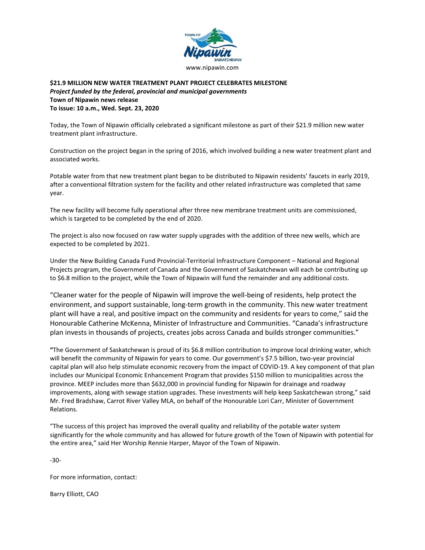

## **\$21.9 MILLION NEW WATER TREATMENT PLANT PROJECT CELEBRATES MILESTONE** *Project funded by the federal, provincial and municipal governments* **Town of Nipawin news release To issue: 10 a.m., Wed. Sept. 23, 2020**

Today, the Town of Nipawin officially celebrated a significant milestone as part of their \$21.9 million new water treatment plant infrastructure.

Construction on the project began in the spring of 2016, which involved building a new water treatment plant and associated works.

Potable water from that new treatment plant began to be distributed to Nipawin residents' faucets in early 2019, after a conventional filtration system for the facility and other related infrastructure was completed that same year.

The new facility will become fully operational after three new membrane treatment units are commissioned, which is targeted to be completed by the end of 2020.

The project is also now focused on raw water supply upgrades with the addition of three new wells, which are expected to be completed by 2021.

Under the New Building Canada Fund Provincial-Territorial Infrastructure Component – National and Regional Projects program, the Government of Canada and the Government of Saskatchewan will each be contributing up to \$6.8 million to the project, while the Town of Nipawin will fund the remainder and any additional costs.

"Cleaner water for the people of Nipawin will improve the well-being of residents, help protect the environment, and support sustainable, long-term growth in the community. This new water treatment plant will have a real, and positive impact on the community and residents for years to come," said the Honourable Catherine McKenna, Minister of Infrastructure and Communities. "Canada's infrastructure plan invests in thousands of projects, creates jobs across Canada and builds stronger communities."

**"**The Government of Saskatchewan is proud of its \$6.8 million contribution to improve local drinking water, which will benefit the community of Nipawin for years to come. Our government's \$7.5 billion, two-year provincial capital plan will also help stimulate economic recovery from the impact of COVID-19. A key component of that plan includes our Municipal Economic Enhancement Program that provides \$150 million to municipalities across the province. MEEP includes more than \$632,000 in provincial funding for Nipawin for drainage and roadway improvements, along with sewage station upgrades. These investments will help keep Saskatchewan strong," said Mr. Fred Bradshaw, Carrot River Valley MLA, on behalf of the Honourable Lori Carr, Minister of Government Relations.

"The success of this project has improved the overall quality and reliability of the potable water system significantly for the whole community and has allowed for future growth of the Town of Nipawin with potential for the entire area," said Her Worship Rennie Harper, Mayor of the Town of Nipawin.

-30-

For more information, contact:

Barry Elliott, CAO